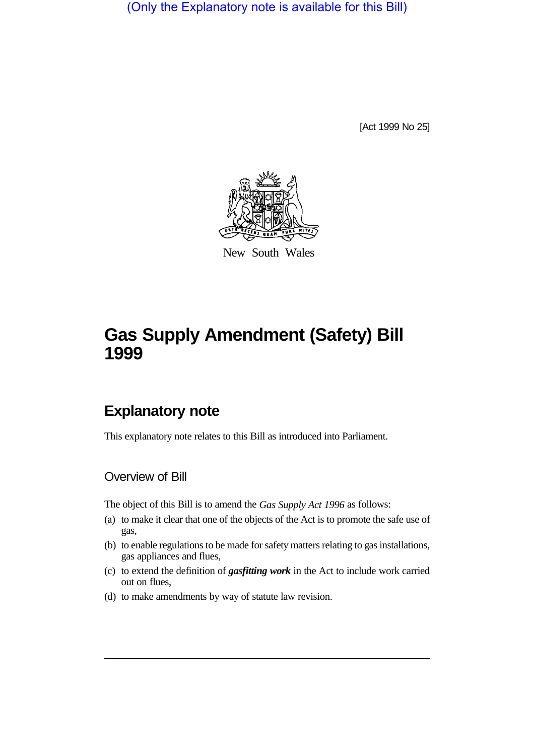(Only the Explanatory note is available for this Bill)

[Act 1999 No 25]



New South Wales

# **Gas Supply Amendment (Safety) Bill 1999**

## **Explanatory note**

This explanatory note relates to this Bill as introduced into Parliament.

## Overview of Bill

The object of this Bill is to amend the *Gas Supply Act 1996* as follows:

- (a) to make it clear that one of the objects of the Act is to promote the safe use of gas,
- (b) to enable regulations to be made for safety matters relating to gas installations, gas appliances and flues,
- (c) to extend the definition of *gasfitting work* in the Act to include work carried out on flues,
- (d) to make amendments by way of statute law revision.